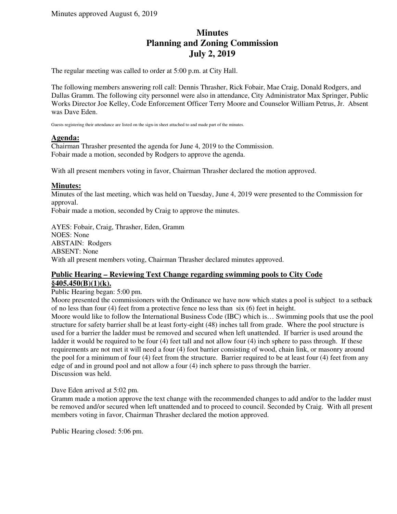# **Minutes Planning and Zoning Commission July 2, 2019**

The regular meeting was called to order at 5:00 p.m. at City Hall.

The following members answering roll call: Dennis Thrasher, Rick Fobair, Mae Craig, Donald Rodgers, and Dallas Gramm. The following city personnel were also in attendance, City Administrator Max Springer, Public Works Director Joe Kelley, Code Enforcement Officer Terry Moore and Counselor William Petrus, Jr. Absent was Dave Eden.

Guests registering their attendance are listed on the sign-in sheet attached to and made part of the minutes.

## **Agenda:**

Chairman Thrasher presented the agenda for June 4, 2019 to the Commission. Fobair made a motion, seconded by Rodgers to approve the agenda.

With all present members voting in favor, Chairman Thrasher declared the motion approved.

## **Minutes:**

Minutes of the last meeting, which was held on Tuesday, June 4, 2019 were presented to the Commission for approval.

Fobair made a motion, seconded by Craig to approve the minutes.

AYES: Fobair, Craig, Thrasher, Eden, Gramm NOES: None ABSTAIN: Rodgers ABSENT: None With all present members voting, Chairman Thrasher declared minutes approved.

## **Public Hearing – Reviewing Text Change regarding swimming pools to City Code §405.450(B)(1)(k).**

#### Public Hearing began: 5:00 pm.

Moore presented the commissioners with the Ordinance we have now which states a pool is subject to a setback of no less than four (4) feet from a protective fence no less than six (6) feet in height.

Moore would like to follow the International Business Code (IBC) which is… Swimming pools that use the pool structure for safety barrier shall be at least forty-eight (48) inches tall from grade. Where the pool structure is used for a barrier the ladder must be removed and secured when left unattended. If barrier is used around the ladder it would be required to be four (4) feet tall and not allow four (4) inch sphere to pass through. If these requirements are not met it will need a four (4) foot barrier consisting of wood, chain link, or masonry around the pool for a minimum of four (4) feet from the structure. Barrier required to be at least four (4) feet from any edge of and in ground pool and not allow a four (4) inch sphere to pass through the barrier. Discussion was held.

Dave Eden arrived at 5:02 pm.

Gramm made a motion approve the text change with the recommended changes to add and/or to the ladder must be removed and/or secured when left unattended and to proceed to council. Seconded by Craig. With all present members voting in favor, Chairman Thrasher declared the motion approved.

Public Hearing closed: 5:06 pm.